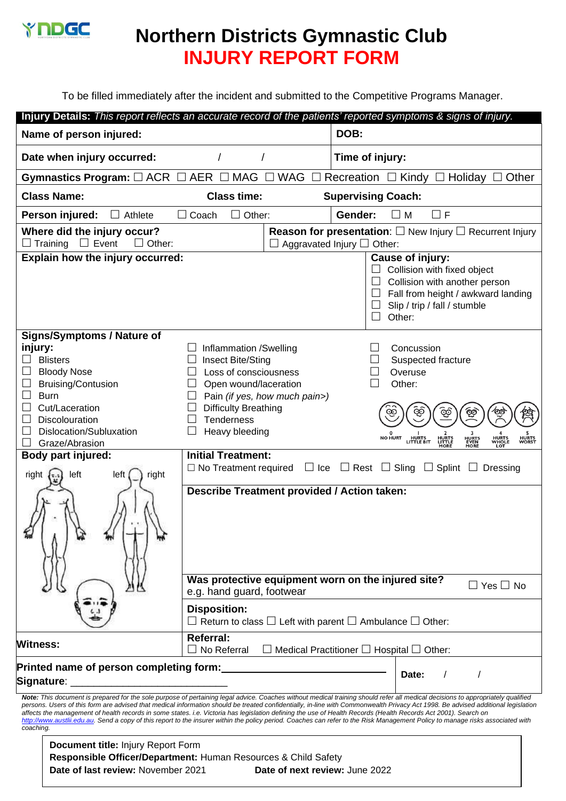

## **Northern Districts Gymnastic Club INJURY REPORT FORM**

To be filled immediately after the incident and submitted to the Competitive Programs Manager.

| Injury Details: This report reflects an accurate record of the patients' reported symptoms & signs of injury.                                                                                                                                                                                                                                                                                                                                                                                                                                                                                                                                                                                                                        |                                                                                                                                                             |                         |                                                                                                                    |                                                                                                                                              |  |
|--------------------------------------------------------------------------------------------------------------------------------------------------------------------------------------------------------------------------------------------------------------------------------------------------------------------------------------------------------------------------------------------------------------------------------------------------------------------------------------------------------------------------------------------------------------------------------------------------------------------------------------------------------------------------------------------------------------------------------------|-------------------------------------------------------------------------------------------------------------------------------------------------------------|-------------------------|--------------------------------------------------------------------------------------------------------------------|----------------------------------------------------------------------------------------------------------------------------------------------|--|
| Name of person injured:                                                                                                                                                                                                                                                                                                                                                                                                                                                                                                                                                                                                                                                                                                              |                                                                                                                                                             |                         | DOB:                                                                                                               |                                                                                                                                              |  |
| Date when injury occurred:                                                                                                                                                                                                                                                                                                                                                                                                                                                                                                                                                                                                                                                                                                           |                                                                                                                                                             |                         | Time of injury:                                                                                                    |                                                                                                                                              |  |
| Gymnastics Program: $\Box$ ACR $\Box$ AER $\Box$ MAG                                                                                                                                                                                                                                                                                                                                                                                                                                                                                                                                                                                                                                                                                 |                                                                                                                                                             | $\square$ WAG<br>$\Box$ |                                                                                                                    | Recreation $\Box$ Kindy $\Box$ Holiday<br>Other                                                                                              |  |
| <b>Class Name:</b>                                                                                                                                                                                                                                                                                                                                                                                                                                                                                                                                                                                                                                                                                                                   | <b>Class time:</b><br><b>Supervising Coach:</b>                                                                                                             |                         |                                                                                                                    |                                                                                                                                              |  |
| Person injured:<br>$\Box$ Athlete                                                                                                                                                                                                                                                                                                                                                                                                                                                                                                                                                                                                                                                                                                    | $\Box$ Coach<br>$\Box$ Other:                                                                                                                               |                         | Gender:                                                                                                            | $\square$ M<br>$\Box$ F                                                                                                                      |  |
| Where did the injury occur?<br>$\Box$ Training<br>$\Box$ Event<br>$\Box$ Other:                                                                                                                                                                                                                                                                                                                                                                                                                                                                                                                                                                                                                                                      |                                                                                                                                                             |                         | <b>Reason for presentation:</b> $\square$ New Injury $\square$ Recurrent Injury<br>Aggravated Injury $\Box$ Other: |                                                                                                                                              |  |
| Explain how the injury occurred:<br>Cause of injury:                                                                                                                                                                                                                                                                                                                                                                                                                                                                                                                                                                                                                                                                                 |                                                                                                                                                             |                         |                                                                                                                    |                                                                                                                                              |  |
|                                                                                                                                                                                                                                                                                                                                                                                                                                                                                                                                                                                                                                                                                                                                      |                                                                                                                                                             |                         | $\mathsf{L}$                                                                                                       | Collision with fixed object<br>Collision with another person<br>Fall from height / awkward landing<br>Slip / trip / fall / stumble<br>Other: |  |
| <b>Signs/Symptoms / Nature of</b>                                                                                                                                                                                                                                                                                                                                                                                                                                                                                                                                                                                                                                                                                                    |                                                                                                                                                             |                         |                                                                                                                    |                                                                                                                                              |  |
| injury:                                                                                                                                                                                                                                                                                                                                                                                                                                                                                                                                                                                                                                                                                                                              | Inflammation /Swelling                                                                                                                                      |                         |                                                                                                                    | Concussion                                                                                                                                   |  |
| <b>Blisters</b>                                                                                                                                                                                                                                                                                                                                                                                                                                                                                                                                                                                                                                                                                                                      | Insect Bite/Sting                                                                                                                                           |                         |                                                                                                                    | Suspected fracture                                                                                                                           |  |
| <b>Bloody Nose</b>                                                                                                                                                                                                                                                                                                                                                                                                                                                                                                                                                                                                                                                                                                                   | Loss of consciousness                                                                                                                                       |                         |                                                                                                                    | Overuse                                                                                                                                      |  |
| Bruising/Contusion                                                                                                                                                                                                                                                                                                                                                                                                                                                                                                                                                                                                                                                                                                                   | Open wound/laceration<br>Other:                                                                                                                             |                         |                                                                                                                    |                                                                                                                                              |  |
| <b>Burn</b>                                                                                                                                                                                                                                                                                                                                                                                                                                                                                                                                                                                                                                                                                                                          | Pain (if yes, how much pain>)                                                                                                                               |                         |                                                                                                                    |                                                                                                                                              |  |
| Cut/Laceration                                                                                                                                                                                                                                                                                                                                                                                                                                                                                                                                                                                                                                                                                                                       | <b>Difficulty Breathing</b>                                                                                                                                 |                         |                                                                                                                    | ලා                                                                                                                                           |  |
| Discolouration<br>Dislocation/Subluxation                                                                                                                                                                                                                                                                                                                                                                                                                                                                                                                                                                                                                                                                                            | <b>Tenderness</b>                                                                                                                                           |                         |                                                                                                                    |                                                                                                                                              |  |
| Graze/Abrasion                                                                                                                                                                                                                                                                                                                                                                                                                                                                                                                                                                                                                                                                                                                       | Heavy bleeding<br><b>NO HURT</b><br>HURTS<br>LITTLE BIT<br><b>HURTS</b><br>WORST<br><b>HURTS</b><br>LITTLE<br><b>HURTS</b><br>WHOLE<br><b>HURTS</b><br>EVEN |                         |                                                                                                                    |                                                                                                                                              |  |
| Body part injured:                                                                                                                                                                                                                                                                                                                                                                                                                                                                                                                                                                                                                                                                                                                   | MORF<br>LO <sub>1</sub><br><b>Initial Treatment:</b>                                                                                                        |                         |                                                                                                                    |                                                                                                                                              |  |
|                                                                                                                                                                                                                                                                                                                                                                                                                                                                                                                                                                                                                                                                                                                                      | $\Box$ Ice $\Box$ Rest $\Box$ Sling $\Box$ Splint $\Box$ Dressing<br>$\Box$ No Treatment required                                                           |                         |                                                                                                                    |                                                                                                                                              |  |
| right<br>left<br>right<br>left                                                                                                                                                                                                                                                                                                                                                                                                                                                                                                                                                                                                                                                                                                       |                                                                                                                                                             |                         |                                                                                                                    |                                                                                                                                              |  |
| Describe Treatment provided / Action taken:                                                                                                                                                                                                                                                                                                                                                                                                                                                                                                                                                                                                                                                                                          |                                                                                                                                                             |                         |                                                                                                                    |                                                                                                                                              |  |
| Was protective equipment worn on the injured site?<br>e.g. hand guard, footwear                                                                                                                                                                                                                                                                                                                                                                                                                                                                                                                                                                                                                                                      |                                                                                                                                                             |                         |                                                                                                                    | $\Box$ Yes $\Box$ No                                                                                                                         |  |
|                                                                                                                                                                                                                                                                                                                                                                                                                                                                                                                                                                                                                                                                                                                                      | <b>Disposition:</b>                                                                                                                                         |                         |                                                                                                                    |                                                                                                                                              |  |
| $\Box$ Return to class $\Box$ Left with parent $\Box$ Ambulance $\Box$ Other:                                                                                                                                                                                                                                                                                                                                                                                                                                                                                                                                                                                                                                                        |                                                                                                                                                             |                         |                                                                                                                    |                                                                                                                                              |  |
| <b>Witness:</b>                                                                                                                                                                                                                                                                                                                                                                                                                                                                                                                                                                                                                                                                                                                      | <b>Referral:</b><br>$\Box$ No Referral $\Box$ Medical Practitioner $\Box$ Hospital $\Box$ Other:                                                            |                         |                                                                                                                    |                                                                                                                                              |  |
| Printed name of person completing form:                                                                                                                                                                                                                                                                                                                                                                                                                                                                                                                                                                                                                                                                                              |                                                                                                                                                             |                         |                                                                                                                    | Date:                                                                                                                                        |  |
| Note: This document is prepared for the sole purpose of pertaining legal advice. Coaches without medical training should refer all medical decisions to appropriately qualified<br>persons. Users of this form are advised that medical information should be treated confidentially, in-line with Commonwealth Privacy Act 1998. Be advised additional legislation<br>affects the management of health records in some states. i.e. Victoria has legislation defining the use of Health Records (Health Records Act 2001). Search on<br>http://www.austlii.edu.au. Send a copy of this report to the insurer within the policy period. Coaches can refer to the Risk Management Policy to manage risks associated with<br>coaching. |                                                                                                                                                             |                         |                                                                                                                    |                                                                                                                                              |  |
| Document title: Injury Report Form<br>Responsible Officer/Department: Human Resources & Child Safety                                                                                                                                                                                                                                                                                                                                                                                                                                                                                                                                                                                                                                 |                                                                                                                                                             |                         |                                                                                                                    |                                                                                                                                              |  |

**Date of last review:** November 2021 **Date of next review:** June 2022